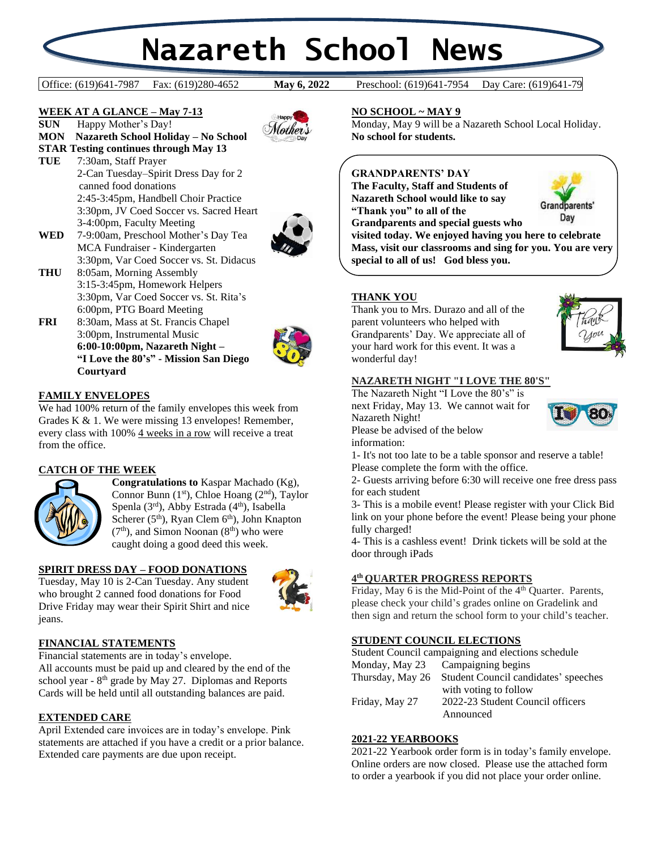# **Nazareth School News**

Office: (619)641-7987 Fax: (619)280-4652 **May 6, 2022** Preschool: (619)641-7954 Day Care: (619)641-79

**May 6, 2022** 

#### **WEEK AT A GLANCE – May 7-13**

**SUN** Happy Mother's Day! **MON Nazareth School Holiday – No School STAR Testing continues through May 13**

**TUE** 7:30am, Staff Prayer 2-Can Tuesday–Spirit Dress Day for 2 canned food donations 2:45-3:45pm, Handbell Choir Practice 3:30pm, JV Coed Soccer vs. Sacred Heart 3-4:00pm, Faculty Meeting





- **WED** 7-9:00am, Preschool Mother's Day Tea MCA Fundraiser - Kindergarten 3:30pm, Var Coed Soccer vs. St. Didacus
- **THU** 8:05am, Morning Assembly 3:15-3:45pm, Homework Helpers 3:30pm, Var Coed Soccer vs. St. Rita's 6:00pm, PTG Board Meeting
- **FRI** 8:30am, Mass at St. Francis Chapel 3:00pm, Instrumental Music **6:00-10:00pm, Nazareth Night – "I Love the 80's" - Mission San Diego Courtyard**



# **FAMILY ENVELOPES**

We had 100% return of the family envelopes this week from Grades K & 1. We were missing 13 envelopes! Remember, every class with 100% 4 weeks in a row will receive a treat from the office.

# **CATCH OF THE WEEK**



**Congratulations to** Kaspar Machado (Kg), Connor Bunn (1<sup>st</sup>), Chloe Hoang (2<sup>nd</sup>), Taylor Spenla  $(3<sup>rd</sup>)$ , Abby Estrada  $(4<sup>th</sup>)$ , Isabella Scherer (5<sup>th</sup>), Ryan Clem 6<sup>th</sup>), John Knapton  $(7<sup>th</sup>)$ , and Simon Noonan  $(8<sup>th</sup>)$  who were caught doing a good deed this week.

#### **SPIRIT DRESS DAY – FOOD DONATIONS**

Tuesday, May 10 is 2-Can Tuesday. Any student who brought 2 canned food donations for Food Drive Friday may wear their Spirit Shirt and nice jeans.



# **FINANCIAL STATEMENTS**

Financial statements are in today's envelope. All accounts must be paid up and cleared by the end of the school year -  $8<sup>th</sup>$  grade by May 27. Diplomas and Reports Cards will be held until all outstanding balances are paid.

#### **EXTENDED CARE**

April Extended care invoices are in today's envelope. Pink statements are attached if you have a credit or a prior balance. Extended care payments are due upon receipt.

**NO SCHOOL ~ MAY 9**

Monday, May 9 will be a Nazareth School Local Holiday. **No school for students.**

# **GRANDPARENTS' DAY**

**The Faculty, Staff and Students of Nazareth School would like to say "Thank you" to all of the** 



**Grandparents and special guests who visited today. We enjoyed having you here to celebrate Mass, visit our classrooms and sing for you. You are very special to all of us! God bless you.**

# **THANK YOU**

Thank you to Mrs. Durazo and all of the parent volunteers who helped with Grandparents' Day. We appreciate all of your hard work for this event. It was a wonderful day!



#### **NAZARETH NIGHT "I LOVE THE 80'S"**

The Nazareth Night "I Love the 80's" is next Friday, May 13. We cannot wait for Nazareth Night! Please be advised of the below

information:

1- It's not too late to be a table sponsor and reserve a table! Please complete the form with the office.

2- Guests arriving before 6:30 will receive one free dress pass for each student

3- This is a mobile event! Please register with your Click Bid link on your phone before the event! Please being your phone fully charged!

4- This is a cashless event! Drink tickets will be sold at the door through iPads

#### **4 th QUARTER PROGRESS REPORTS**

Friday, May 6 is the Mid-Point of the  $4<sup>th</sup>$  Quarter. Parents, please check your child's grades online on Gradelink and then sign and return the school form to your child's teacher.

# **STUDENT COUNCIL ELECTIONS**

| Student Council campaigning and elections schedule |                                      |
|----------------------------------------------------|--------------------------------------|
| Monday, May 23                                     | Campaigning begins                   |
| Thursday, May 26                                   | Student Council candidates' speeches |
|                                                    | with voting to follow                |
| Friday, May 27                                     | 2022-23 Student Council officers     |
|                                                    | Announced                            |

#### **2021-22 YEARBOOKS**

2021-22 Yearbook order form is in today's family envelope. Online orders are now closed. Please use the attached form to order a yearbook if you did not place your order online.